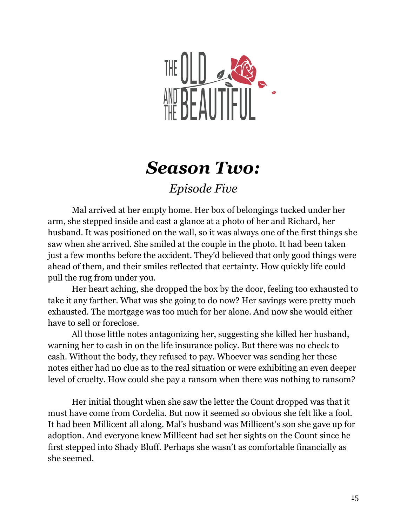

## *Season Two:*

*Episode Five*

Mal arrived at her empty home. Her box of belongings tucked under her arm, she stepped inside and cast a glance at a photo of her and Richard, her husband. It was positioned on the wall, so it was always one of the first things she saw when she arrived. She smiled at the couple in the photo. It had been taken just a few months before the accident. They'd believed that only good things were ahead of them, and their smiles reflected that certainty. How quickly life could pull the rug from under you.

Her heart aching, she dropped the box by the door, feeling too exhausted to take it any farther. What was she going to do now? Her savings were pretty much exhausted. The mortgage was too much for her alone. And now she would either have to sell or foreclose.

All those little notes antagonizing her, suggesting she killed her husband, warning her to cash in on the life insurance policy. But there was no check to cash. Without the body, they refused to pay. Whoever was sending her these notes either had no clue as to the real situation or were exhibiting an even deeper level of cruelty. How could she pay a ransom when there was nothing to ransom?

Her initial thought when she saw the letter the Count dropped was that it must have come from Cordelia. But now it seemed so obvious she felt like a fool. It had been Millicent all along. Mal's husband was Millicent's son she gave up for adoption. And everyone knew Millicent had set her sights on the Count since he first stepped into Shady Bluff. Perhaps she wasn't as comfortable financially as she seemed.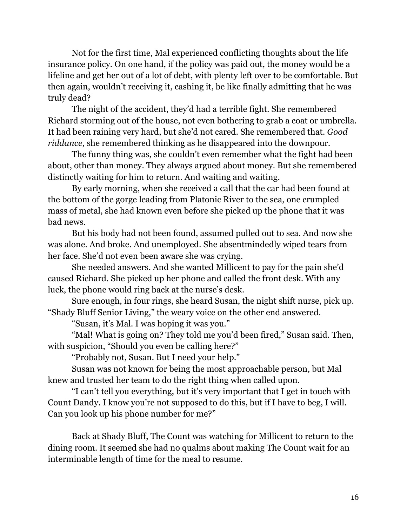Not for the first time, Mal experienced conflicting thoughts about the life insurance policy. On one hand, if the policy was paid out, the money would be a lifeline and get her out of a lot of debt, with plenty left over to be comfortable. But then again, wouldn't receiving it, cashing it, be like finally admitting that he was truly dead?

The night of the accident, they'd had a terrible fight. She remembered Richard storming out of the house, not even bothering to grab a coat or umbrella. It had been raining very hard, but she'd not cared. She remembered that. *Good riddance,* she remembered thinking as he disappeared into the downpour.

The funny thing was, she couldn't even remember what the fight had been about, other than money. They always argued about money. But she remembered distinctly waiting for him to return. And waiting and waiting.

By early morning, when she received a call that the car had been found at the bottom of the gorge leading from Platonic River to the sea, one crumpled mass of metal, she had known even before she picked up the phone that it was bad news.

But his body had not been found, assumed pulled out to sea. And now she was alone. And broke. And unemployed. She absentmindedly wiped tears from her face. She'd not even been aware she was crying.

She needed answers. And she wanted Millicent to pay for the pain she'd caused Richard. She picked up her phone and called the front desk. With any luck, the phone would ring back at the nurse's desk.

Sure enough, in four rings, she heard Susan, the night shift nurse, pick up. "Shady Bluff Senior Living," the weary voice on the other end answered.

"Susan, it's Mal. I was hoping it was you."

"Mal! What is going on? They told me you'd been fired," Susan said. Then, with suspicion, "Should you even be calling here?"

"Probably not, Susan. But I need your help."

Susan was not known for being the most approachable person, but Mal knew and trusted her team to do the right thing when called upon.

"I can't tell you everything, but it's very important that I get in touch with Count Dandy. I know you're not supposed to do this, but if I have to beg, I will. Can you look up his phone number for me?"

Back at Shady Bluff, The Count was watching for Millicent to return to the dining room. It seemed she had no qualms about making The Count wait for an interminable length of time for the meal to resume.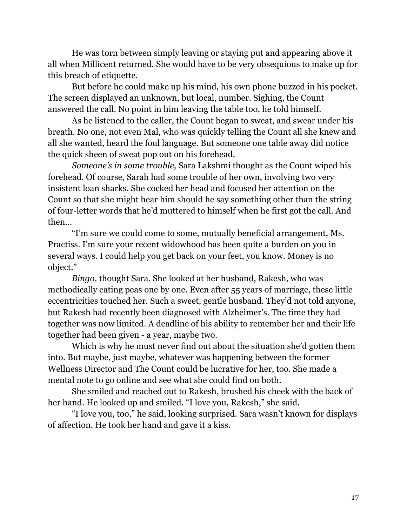He was torn between simply leaving or staying put and appearing above it all when Millicent returned. She would have to be very obsequious to make up for this breach of etiquette.

But before he could make up his mind, his own phone buzzed in his pocket. The screen displayed an unknown, but local, number. Sighing, the Count answered the call. No point in him leaving the table too, he told himself.

As he listened to the caller, the Count began to sweat, and swear under his breath. No one, not even Mal, who was quickly telling the Count all she knew and all she wanted, heard the foul language. But someone one table away did notice the quick sheen of sweat pop out on his forehead.

*Someone's in some trouble,* Sara Lakshmi thought as the Count wiped his forehead. Of course, Sarah had some trouble of her own, involving two very insistent loan sharks. She cocked her head and focused her attention on the Count so that she might hear him should he say something other than the string of four-letter words that he'd muttered to himself when he first got the call. And then…

"I'm sure we could come to some, mutually beneficial arrangement, Ms. Practiss. I'm sure your recent widowhood has been quite a burden on you in several ways. I could help you get back on your feet, you know. Money is no object."

*Bingo,* thought Sara. She looked at her husband, Rakesh, who was methodically eating peas one by one. Even after 55 years of marriage, these little eccentricities touched her. Such a sweet, gentle husband. They'd not told anyone, but Rakesh had recently been diagnosed with Alzheimer's. The time they had together was now limited. A deadline of his ability to remember her and their life together had been given - a year, maybe two.

Which is why he must never find out about the situation she'd gotten them into. But maybe, just maybe, whatever was happening between the former Wellness Director and The Count could be lucrative for her, too. She made a mental note to go online and see what she could find on both.

She smiled and reached out to Rakesh, brushed his cheek with the back of her hand. He looked up and smiled. "I love you, Rakesh," she said.

"I love you, too," he said, looking surprised. Sara wasn't known for displays of affection. He took her hand and gave it a kiss.